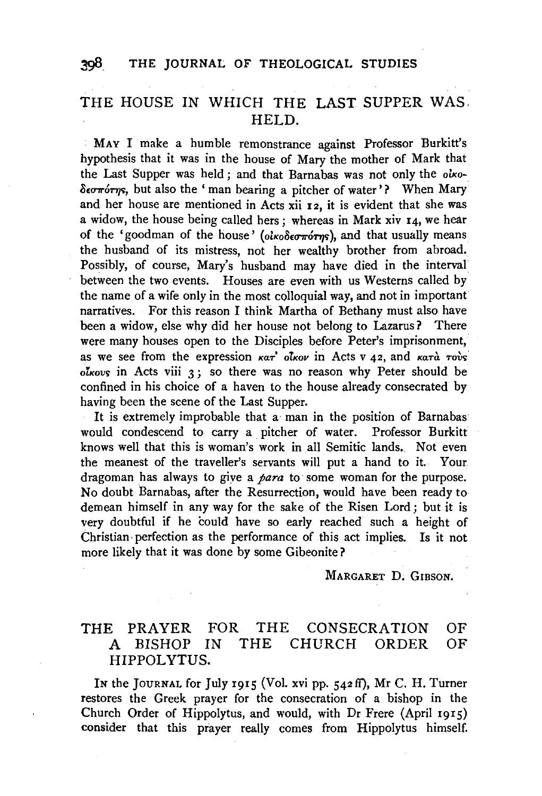## 398. THE JOURNAL OF THEOLOGICAL STUDIES

## THE HOUSE IN WHICH THE LAST SUPPER WAS. HELD.

MAY I make a humble remonstrance against Professor Burkitt's hypothesis that it was in the house of Mary the mother of Mark that the Last Supper was held; and that Barnabas was not only the *oiko*- $\delta$ <sub>c</sub> $\sigma\tau$ 'orn, but also the ' man bearing a pitcher of water'? When Mary and her house are mentioned in Acts xii 12, it is evident that she was a widow, the house being called hers; whereas in Mark xiv 14, we hear of the 'goodman of the house' (oiκοδεσπότης), and that usually means the husband of its mistress, not her wealthy brother from abroad. Possibly, of course, Mary's husband may have died in the interval between the two events. Houses are even with us Westerns called by the name of a wife only in the most colloquial way, and not in important narratives. For this reason I think Martha of Bethany must also have been a widow, else why did her house not belong to Lazarus? There were many houses open to the Disciples before Peter's imprisonment, as we see from the expression  $\kappa a \vec{r}$  olkov in Acts v 42, and  $\kappa a \vec{r}$   $\alpha$   $\vec{r}$ *olKovi;* in Acts viii 3 ; so there was no reason why Peter should be confined in his choice of a haven to the house already consecrated by having been the scene of the Last Supper.

It is extremely improbable that a man in the position of Barnabas would condescend to carry a pitcher of water. Professor Burkitt knows well that this is woman's work in all Semitic lands.. Not even the meanest of the traveller's servants will put a hand to it. Your. dragoman has always to giye a *para* to some woman for the purpose. No doubt Barnabas, after the Resurrection, would have been ready to demean himself in any way for the sake of the Risen Lord; but it is very doubtful if he could have so early reached such a height of Christian, perfection as the performance of this act implies. Is it not more likely that it was done by some Gibeonite?

MARGARET D. GIBSON.

## THE PRAYER FOR THE CONSECRATION OF A BISHOP IN THE CHURCH ORDER OF HIPPOL YTUS.

IN the JOURNAL for July 1915 (Vol. xvi pp. 542 ff), Mr C. H. Turner restores the Greek prayer for the consecration of a bishop in the Church Order of Hippolytus, and would, with Dr Frere (April 1915) consider that this prayer really comes from Hippolytus himself.